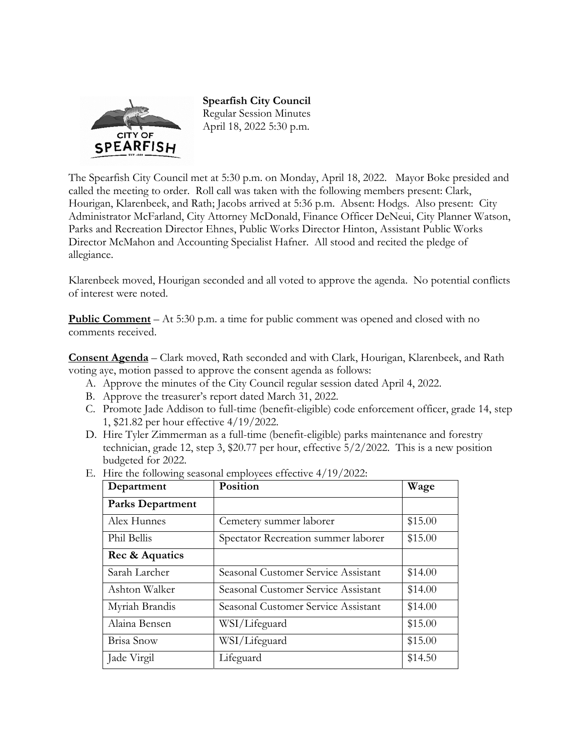

**Spearfish City Council**  Regular Session Minutes April 18, 2022 5:30 p.m.

The Spearfish City Council met at 5:30 p.m. on Monday, April 18, 2022. Mayor Boke presided and called the meeting to order. Roll call was taken with the following members present: Clark, Hourigan, Klarenbeek, and Rath; Jacobs arrived at 5:36 p.m. Absent: Hodgs. Also present: City Administrator McFarland, City Attorney McDonald, Finance Officer DeNeui, City Planner Watson, Parks and Recreation Director Ehnes, Public Works Director Hinton, Assistant Public Works Director McMahon and Accounting Specialist Hafner. All stood and recited the pledge of allegiance.

Klarenbeek moved, Hourigan seconded and all voted to approve the agenda. No potential conflicts of interest were noted.

**Public Comment** – At 5:30 p.m. a time for public comment was opened and closed with no comments received.

**Consent Agenda** – Clark moved, Rath seconded and with Clark, Hourigan, Klarenbeek, and Rath voting aye, motion passed to approve the consent agenda as follows:

- A. Approve the minutes of the City Council regular session dated April 4, 2022.
- B. Approve the treasurer's report dated March 31, 2022.
- C. Promote Jade Addison to full-time (benefit-eligible) code enforcement officer, grade 14, step 1, \$21.82 per hour effective 4/19/2022.
- D. Hire Tyler Zimmerman as a full-time (benefit-eligible) parks maintenance and forestry technician, grade 12, step 3, \$20.77 per hour, effective 5/2/2022. This is a new position budgeted for 2022.

| Department              | Position                            | Wage    |
|-------------------------|-------------------------------------|---------|
| <b>Parks Department</b> |                                     |         |
| Alex Hunnes             | Cemetery summer laborer             | \$15.00 |
| Phil Bellis             | Spectator Recreation summer laborer | \$15.00 |
| Rec & Aquatics          |                                     |         |
| Sarah Larcher           | Seasonal Customer Service Assistant | \$14.00 |
| Ashton Walker           | Seasonal Customer Service Assistant | \$14.00 |
| Myriah Brandis          | Seasonal Customer Service Assistant | \$14.00 |
| Alaina Bensen           | WSI/Lifeguard                       | \$15.00 |
| Brisa Snow              | WSI/Lifeguard                       | \$15.00 |
| Jade Virgil             | Lifeguard                           | \$14.50 |

E. Hire the following seasonal employees effective 4/19/2022: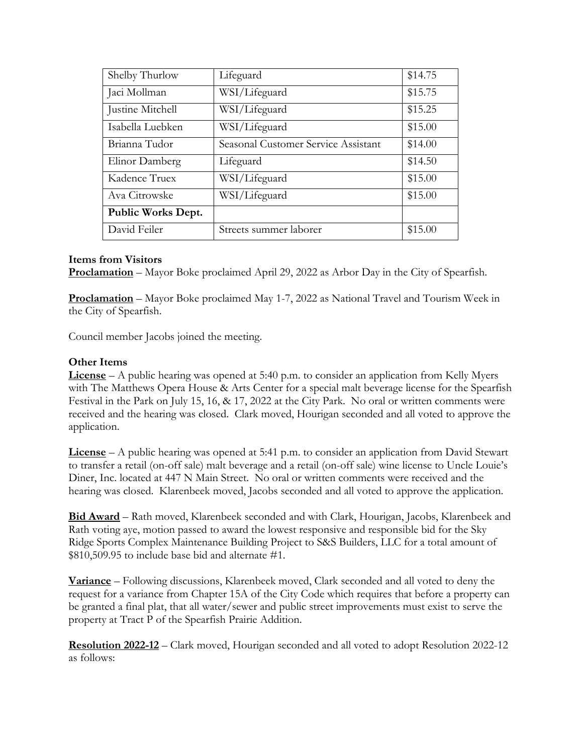| Shelby Thurlow            | Lifeguard                           | \$14.75 |
|---------------------------|-------------------------------------|---------|
| Jaci Mollman              | WSI/Lifeguard                       | \$15.75 |
| Justine Mitchell          | WSI/Lifeguard                       | \$15.25 |
| Isabella Luebken          | WSI/Lifeguard                       | \$15.00 |
| Brianna Tudor             | Seasonal Customer Service Assistant | \$14.00 |
| Elinor Damberg            | Lifeguard                           | \$14.50 |
| Kadence Truex             | WSI/Lifeguard                       | \$15.00 |
| Ava Citrowske             | WSI/Lifeguard                       | \$15.00 |
| <b>Public Works Dept.</b> |                                     |         |
| David Feiler              | Streets summer laborer              | \$15.00 |

### **Items from Visitors**

**Proclamation** – Mayor Boke proclaimed April 29, 2022 as Arbor Day in the City of Spearfish.

**Proclamation** – Mayor Boke proclaimed May 1-7, 2022 as National Travel and Tourism Week in the City of Spearfish.

Council member Jacobs joined the meeting.

#### **Other Items**

**License** – A public hearing was opened at 5:40 p.m. to consider an application from Kelly Myers with The Matthews Opera House & Arts Center for a special malt beverage license for the Spearfish Festival in the Park on July 15, 16, & 17, 2022 at the City Park. No oral or written comments were received and the hearing was closed. Clark moved, Hourigan seconded and all voted to approve the application.

**License** – A public hearing was opened at 5:41 p.m. to consider an application from David Stewart to transfer a retail (on-off sale) malt beverage and a retail (on-off sale) wine license to Uncle Louie's Diner, Inc. located at 447 N Main Street. No oral or written comments were received and the hearing was closed. Klarenbeek moved, Jacobs seconded and all voted to approve the application.

**Bid Award** – Rath moved, Klarenbeek seconded and with Clark, Hourigan, Jacobs, Klarenbeek and Rath voting aye, motion passed to award the lowest responsive and responsible bid for the Sky Ridge Sports Complex Maintenance Building Project to S&S Builders, LLC for a total amount of \$810,509.95 to include base bid and alternate #1.

**Variance** – Following discussions, Klarenbeek moved, Clark seconded and all voted to deny the request for a variance from Chapter 15A of the City Code which requires that before a property can be granted a final plat, that all water/sewer and public street improvements must exist to serve the property at Tract P of the Spearfish Prairie Addition.

**Resolution 2022-12** – Clark moved, Hourigan seconded and all voted to adopt Resolution 2022-12 as follows: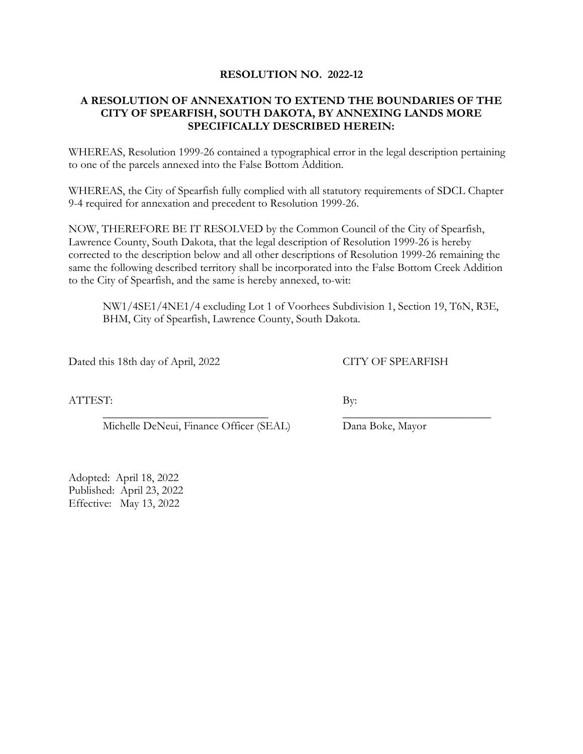#### **RESOLUTION NO. 2022-12**

### **A RESOLUTION OF ANNEXATION TO EXTEND THE BOUNDARIES OF THE CITY OF SPEARFISH, SOUTH DAKOTA, BY ANNEXING LANDS MORE SPECIFICALLY DESCRIBED HEREIN:**

WHEREAS, Resolution 1999-26 contained a typographical error in the legal description pertaining to one of the parcels annexed into the False Bottom Addition.

WHEREAS, the City of Spearfish fully complied with all statutory requirements of SDCL Chapter 9-4 required for annexation and precedent to Resolution 1999-26.

NOW, THEREFORE BE IT RESOLVED by the Common Council of the City of Spearfish, Lawrence County, South Dakota, that the legal description of Resolution 1999-26 is hereby corrected to the description below and all other descriptions of Resolution 1999-26 remaining the same the following described territory shall be incorporated into the False Bottom Creek Addition to the City of Spearfish, and the same is hereby annexed, to-wit:

NW1/4SE1/4NE1/4 excluding Lot 1 of Voorhees Subdivision 1, Section 19, T6N, R3E, BHM, City of Spearfish, Lawrence County, South Dakota.

Dated this 18th day of April, 2022 CITY OF SPEARFISH

ATTEST: By:

Michelle DeNeui, Finance Officer (SEAL) Dana Boke, Mayor

\_\_\_\_\_\_\_\_\_\_\_\_\_\_\_\_\_\_\_\_\_\_\_\_\_\_\_\_\_ \_\_\_\_\_\_\_\_\_\_\_\_\_\_\_\_\_\_\_\_\_\_\_\_\_\_

Adopted: April 18, 2022 Published: April 23, 2022 Effective: May 13, 2022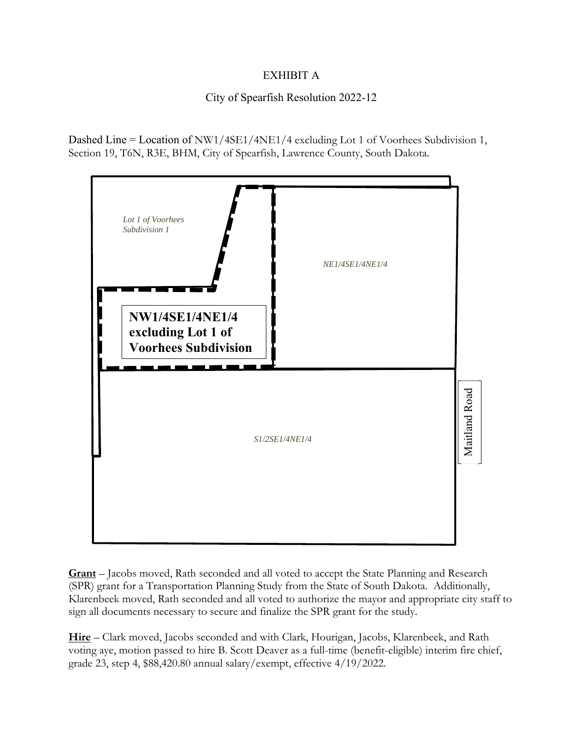## EXHIBIT A

## City of Spearfish Resolution 2022-12

Dashed Line = Location of NW1/4SE1/4NE1/4 excluding Lot 1 of Voorhees Subdivision 1, Section 19, T6N, R3E, BHM, City of Spearfish, Lawrence County, South Dakota.



**Grant** – Jacobs moved, Rath seconded and all voted to accept the State Planning and Research (SPR) grant for a Transportation Planning Study from the State of South Dakota. Additionally, Klarenbeek moved, Rath seconded and all voted to authorize the mayor and appropriate city staff to sign all documents necessary to secure and finalize the SPR grant for the study.

**Hire** – Clark moved, Jacobs seconded and with Clark, Hourigan, Jacobs, Klarenbeek, and Rath voting aye, motion passed to hire B. Scott Deaver as a full-time (benefit-eligible) interim fire chief, grade 23, step 4, \$88,420.80 annual salary/exempt, effective 4/19/2022.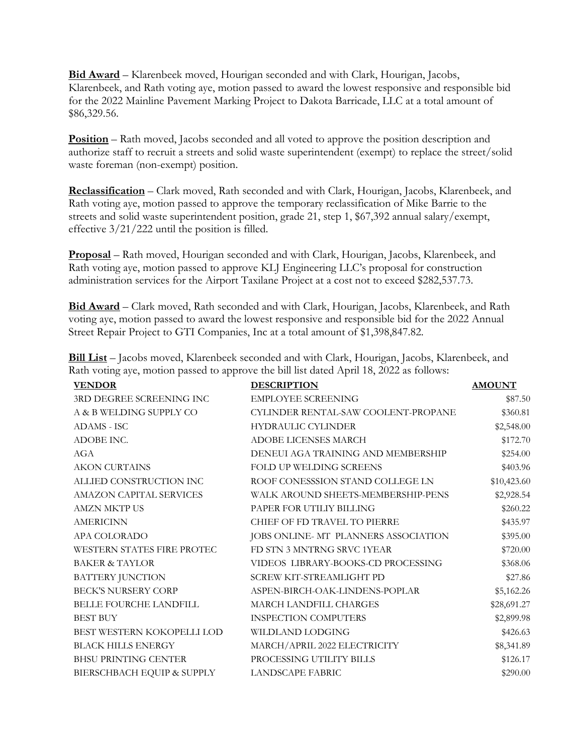**Bid Award** – Klarenbeek moved, Hourigan seconded and with Clark, Hourigan, Jacobs, Klarenbeek, and Rath voting aye, motion passed to award the lowest responsive and responsible bid for the 2022 Mainline Pavement Marking Project to Dakota Barricade, LLC at a total amount of \$86,329.56.

**Position** – Rath moved, Jacobs seconded and all voted to approve the position description and authorize staff to recruit a streets and solid waste superintendent (exempt) to replace the street/solid waste foreman (non-exempt) position.

**Reclassification** – Clark moved, Rath seconded and with Clark, Hourigan, Jacobs, Klarenbeek, and Rath voting aye, motion passed to approve the temporary reclassification of Mike Barrie to the streets and solid waste superintendent position, grade 21, step 1, \$67,392 annual salary/exempt, effective 3/21/222 until the position is filled.

**Proposal** – Rath moved, Hourigan seconded and with Clark, Hourigan, Jacobs, Klarenbeek, and Rath voting aye, motion passed to approve KLJ Engineering LLC's proposal for construction administration services for the Airport Taxilane Project at a cost not to exceed \$282,537.73.

**Bid Award** – Clark moved, Rath seconded and with Clark, Hourigan, Jacobs, Klarenbeek, and Rath voting aye, motion passed to award the lowest responsive and responsible bid for the 2022 Annual Street Repair Project to GTI Companies, Inc at a total amount of \$1,398,847.82.

| <b>VENDOR</b>                 | <b>DESCRIPTION</b>                   | <b>AMOUNT</b> |
|-------------------------------|--------------------------------------|---------------|
| 3RD DEGREE SCREENING INC      | <b>EMPLOYEE SCREENING</b>            | \$87.50       |
| A & B WELDING SUPPLY CO       | CYLINDER RENTAL-SAW COOLENT-PROPANE  | \$360.81      |
| ADAMS - ISC                   | <b>HYDRAULIC CYLINDER</b>            | \$2,548.00    |
| ADOBE INC.                    | <b>ADOBE LICENSES MARCH</b>          | \$172.70      |
| AGA                           | DENEUI AGA TRAINING AND MEMBERSHIP   | \$254.00      |
| <b>AKON CURTAINS</b>          | FOLD UP WELDING SCREENS              | \$403.96      |
| ALLIED CONSTRUCTION INC       | ROOF CONESSSION STAND COLLEGE LN     | \$10,423.60   |
| AMAZON CAPITAL SERVICES       | WALK AROUND SHEETS-MEMBERSHIP-PENS   | \$2,928.54    |
| <b>AMZN MKTP US</b>           | PAPER FOR UTILIY BILLING             | \$260.22      |
| <b>AMERICINN</b>              | CHIEF OF FD TRAVEL TO PIERRE         | \$435.97      |
| APA COLORADO                  | JOBS ONLINE- MT PLANNERS ASSOCIATION | \$395.00      |
| WESTERN STATES FIRE PROTEC    | FD STN 3 MNTRNG SRVC 1YEAR           | \$720.00      |
| <b>BAKER &amp; TAYLOR</b>     | VIDEOS LIBRARY-BOOKS-CD PROCESSING   | \$368.06      |
| BATTERY JUNCTION              | SCREW KIT-STREAMLIGHT PD             | \$27.86       |
| <b>BECK'S NURSERY CORP</b>    | ASPEN-BIRCH-OAK-LINDENS-POPLAR       | \$5,162.26    |
| <b>BELLE FOURCHE LANDFILL</b> | <b>MARCH LANDFILL CHARGES</b>        | \$28,691.27   |
| <b>BEST BUY</b>               | <b>INSPECTION COMPUTERS</b>          | \$2,899.98    |
| BEST WESTERN KOKOPELLI LOD    | WILDLAND LODGING                     | \$426.63      |
| <b>BLACK HILLS ENERGY</b>     | MARCH/APRIL 2022 ELECTRICITY         | \$8,341.89    |
| BHSU PRINTING CENTER          | PROCESSING UTILITY BILLS             | \$126.17      |
| BIERSCHBACH EQUIP & SUPPLY    | <b>LANDSCAPE FABRIC</b>              | \$290.00      |

**Bill List** – Jacobs moved, Klarenbeek seconded and with Clark, Hourigan, Jacobs, Klarenbeek, and Rath voting aye, motion passed to approve the bill list dated April 18, 2022 as follows: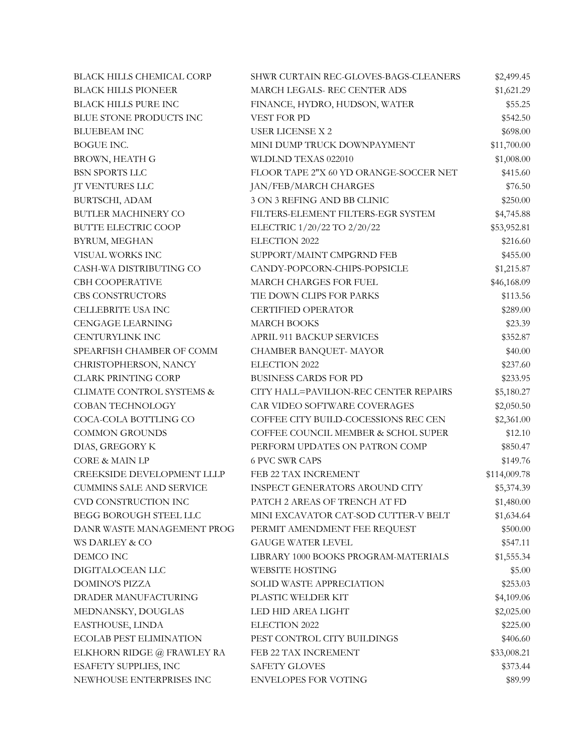| <b>BLACK HILLS CHEMICAL CORP</b> | SHWR CURTAIN REC-GLOVES-BAGS-CLEANERS  | \$2,499.45   |
|----------------------------------|----------------------------------------|--------------|
| <b>BLACK HILLS PIONEER</b>       | MARCH LEGALS-REC CENTER ADS            | \$1,621.29   |
| <b>BLACK HILLS PURE INC</b>      | FINANCE, HYDRO, HUDSON, WATER          | \$55.25      |
| BLUE STONE PRODUCTS INC          | VEST FOR PD                            | \$542.50     |
| <b>BLUEBEAM INC</b>              | <b>USER LICENSE X 2</b>                | \$698.00     |
| BOGUE INC.                       | MINI DUMP TRUCK DOWNPAYMENT            | \$11,700.00  |
| BROWN, HEATH G                   | WLDLND TEXAS 022010                    | \$1,008.00   |
| <b>BSN SPORTS LLC</b>            | FLOOR TAPE 2"X 60 YD ORANGE-SOCCER NET | \$415.60     |
| <b>JT VENTURES LLC</b>           | JAN/FEB/MARCH CHARGES                  | \$76.50      |
| BURTSCHI, ADAM                   | 3 ON 3 REFING AND BB CLINIC            | \$250.00     |
| BUTLER MACHINERY CO              | FILTERS-ELEMENT FILTERS-EGR SYSTEM     | \$4,745.88   |
| <b>BUTTE ELECTRIC COOP</b>       | ELECTRIC 1/20/22 TO 2/20/22            | \$53,952.81  |
| BYRUM, MEGHAN                    | ELECTION 2022                          | \$216.60     |
| VISUAL WORKS INC                 | SUPPORT/MAINT CMPGRND FEB              | \$455.00     |
| CASH-WA DISTRIBUTING CO          | CANDY-POPCORN-CHIPS-POPSICLE           | \$1,215.87   |
| <b>CBH COOPERATIVE</b>           | MARCH CHARGES FOR FUEL                 | \$46,168.09  |
| CBS CONSTRUCTORS                 | TIE DOWN CLIPS FOR PARKS               | \$113.56     |
| CELLEBRITE USA INC               | <b>CERTIFIED OPERATOR</b>              | \$289.00     |
| <b>CENGAGE LEARNING</b>          | <b>MARCH BOOKS</b>                     | \$23.39      |
| <b>CENTURYLINK INC</b>           | <b>APRIL 911 BACKUP SERVICES</b>       | \$352.87     |
| SPEARFISH CHAMBER OF COMM        | CHAMBER BANQUET- MAYOR                 | \$40.00      |
| CHRISTOPHERSON, NANCY            | ELECTION 2022                          | \$237.60     |
| <b>CLARK PRINTING CORP</b>       | <b>BUSINESS CARDS FOR PD</b>           | \$233.95     |
| CLIMATE CONTROL SYSTEMS &        | CITY HALL=PAVILION-REC CENTER REPAIRS  | \$5,180.27   |
| <b>COBAN TECHNOLOGY</b>          | CAR VIDEO SOFTWARE COVERAGES           | \$2,050.50   |
| COCA-COLA BOTTLING CO            | COFFEE CITY BUILD-COCESSIONS REC CEN   | \$2,361.00   |
| <b>COMMON GROUNDS</b>            | COFFEE COUNCIL MEMBER & SCHOL SUPER    | \$12.10      |
| DIAS, GREGORY K                  | PERFORM UPDATES ON PATRON COMP         | \$850.47     |
| <b>CORE &amp; MAIN LP</b>        | <b>6 PVC SWR CAPS</b>                  | \$149.76     |
| CREEKSIDE DEVELOPMENT LLLP       | FEB 22 TAX INCREMENT                   | \$114,009.78 |
| <b>CUMMINS SALE AND SERVICE</b>  | <b>INSPECT GENERATORS AROUND CITY</b>  | \$5,374.39   |
| CVD CONSTRUCTION INC             | PATCH 2 AREAS OF TRENCH AT FD          | \$1,480.00   |
| <b>BEGG BOROUGH STEEL LLC</b>    | MINI EXCAVATOR CAT-SOD CUTTER-V BELT   | \$1,634.64   |
| DANR WASTE MANAGEMENT PROG       | PERMIT AMENDMENT FEE REQUEST           | \$500.00     |
| WS DARLEY & CO                   | <b>GAUGE WATER LEVEL</b>               | \$547.11     |
| DEMCO INC                        | LIBRARY 1000 BOOKS PROGRAM-MATERIALS   | \$1,555.34   |
| DIGITALOCEAN LLC                 | <b>WEBSITE HOSTING</b>                 | \$5.00       |
| <b>DOMINO'S PIZZA</b>            | SOLID WASTE APPRECIATION               | \$253.03     |
| DRADER MANUFACTURING             | PLASTIC WELDER KIT                     | \$4,109.06   |
| MEDNANSKY, DOUGLAS               | LED HID AREA LIGHT                     | \$2,025.00   |
| EASTHOUSE, LINDA                 | ELECTION 2022                          | \$225.00     |
| <b>ECOLAB PEST ELIMINATION</b>   | PEST CONTROL CITY BUILDINGS            | \$406.60     |
| ELKHORN RIDGE @ FRAWLEY RA       | FEB 22 TAX INCREMENT                   | \$33,008.21  |
| ESAFETY SUPPLIES, INC            | <b>SAFETY GLOVES</b>                   | \$373.44     |
| NEWHOUSE ENTERPRISES INC         | <b>ENVELOPES FOR VOTING</b>            | \$89.99      |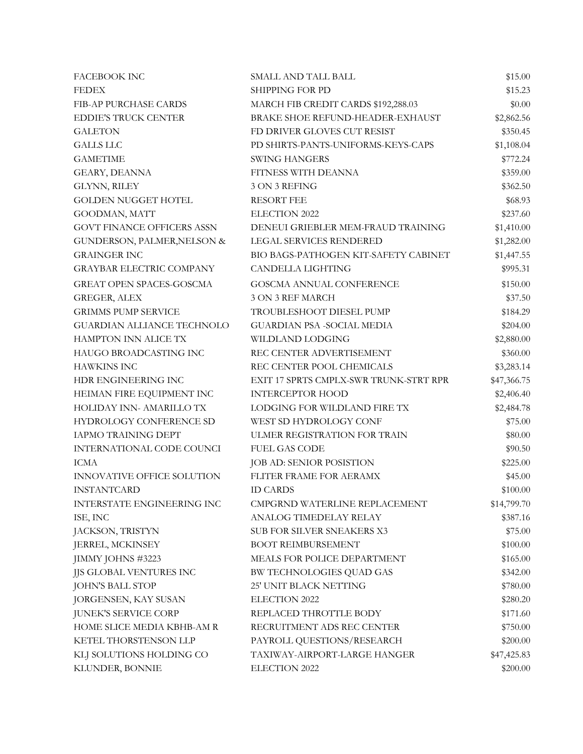| <b>FACEBOOK INC</b>               | <b>SMALL AND TALL BALL</b>             | \$15.00     |
|-----------------------------------|----------------------------------------|-------------|
| <b>FEDEX</b>                      | <b>SHIPPING FOR PD</b>                 | \$15.23     |
| FIB-AP PURCHASE CARDS             | MARCH FIB CREDIT CARDS \$192,288.03    | \$0.00      |
| <b>EDDIE'S TRUCK CENTER</b>       | BRAKE SHOE REFUND-HEADER-EXHAUST       | \$2,862.56  |
| <b>GALETON</b>                    | FD DRIVER GLOVES CUT RESIST            | \$350.45    |
| <b>GALLS LLC</b>                  | PD SHIRTS-PANTS-UNIFORMS-KEYS-CAPS     | \$1,108.04  |
| <b>GAMETIME</b>                   | <b>SWING HANGERS</b>                   | \$772.24    |
| GEARY, DEANNA                     | FITNESS WITH DEANNA                    | \$359.00    |
| GLYNN, RILEY                      | 3 ON 3 REFING                          | \$362.50    |
| <b>GOLDEN NUGGET HOTEL</b>        | <b>RESORT FEE</b>                      | \$68.93     |
| GOODMAN, MATT                     | ELECTION 2022                          | \$237.60    |
| <b>GOVT FINANCE OFFICERS ASSN</b> | DENEUI GRIEBLER MEM-FRAUD TRAINING     | \$1,410.00  |
| GUNDERSON, PALMER, NELSON &       | LEGAL SERVICES RENDERED                | \$1,282.00  |
| <b>GRAINGER INC</b>               | BIO BAGS-PATHOGEN KIT-SAFETY CABINET   | \$1,447.55  |
| <b>GRAYBAR ELECTRIC COMPANY</b>   | <b>CANDELLA LIGHTING</b>               | \$995.31    |
| <b>GREAT OPEN SPACES-GOSCMA</b>   | GOSCMA ANNUAL CONFERENCE               | \$150.00    |
| <b>GREGER, ALEX</b>               | 3 ON 3 REF MARCH                       | \$37.50     |
| <b>GRIMMS PUMP SERVICE</b>        | TROUBLESHOOT DIESEL PUMP               | \$184.29    |
| <b>GUARDIAN ALLIANCE TECHNOLO</b> | <b>GUARDIAN PSA -SOCIAL MEDIA</b>      | \$204.00    |
| HAMPTON INN ALICE TX              | WILDLAND LODGING                       | \$2,880.00  |
| HAUGO BROADCASTING INC            | REC CENTER ADVERTISEMENT               | \$360.00    |
| <b>HAWKINS INC</b>                | REC CENTER POOL CHEMICALS              | \$3,283.14  |
| HDR ENGINEERING INC               | EXIT 17 SPRTS CMPLX-SWR TRUNK-STRT RPR | \$47,366.75 |
| HEIMAN FIRE EQUIPMENT INC         | <b>INTERCEPTOR HOOD</b>                | \$2,406.40  |
| HOLIDAY INN- AMARILLO TX          | LODGING FOR WILDLAND FIRE TX           | \$2,484.78  |
| HYDROLOGY CONFERENCE SD           | WEST SD HYDROLOGY CONF                 | \$75.00     |
| <b>IAPMO TRAINING DEPT</b>        | ULMER REGISTRATION FOR TRAIN           | \$80.00     |
| INTERNATIONAL CODE COUNCI         | <b>FUEL GAS CODE</b>                   | \$90.50     |
| <b>ICMA</b>                       | JOB AD: SENIOR POSISTION               | \$225.00    |
| INNOVATIVE OFFICE SOLUTION        | FLITER FRAME FOR AERAMX                | \$45.00     |
| <b>INSTANTCARD</b>                | <b>ID CARDS</b>                        | \$100.00    |
| INTERSTATE ENGINEERING INC        | CMPGRND WATERLINE REPLACEMENT          | \$14,799.70 |
| ISE, INC                          | ANALOG TIMEDELAY RELAY                 | \$387.16    |
| JACKSON, TRISTYN                  | SUB FOR SILVER SNEAKERS X3             | \$75.00     |
| JERREL, MCKINSEY                  | <b>BOOT REIMBURSEMENT</b>              | \$100.00    |
| JIMMY JOHNS #3223                 | MEALS FOR POLICE DEPARTMENT            | \$165.00    |
| JJS GLOBAL VENTURES INC           | BW TECHNOLOGIES QUAD GAS               | \$342.00    |
| <b>JOHN'S BALL STOP</b>           | 25' UNIT BLACK NETTING                 | \$780.00    |
| JORGENSEN, KAY SUSAN              | ELECTION 2022                          | \$280.20    |
| <b>JUNEK'S SERVICE CORP</b>       | REPLACED THROTTLE BODY                 | \$171.60    |
| HOME SLICE MEDIA KBHB-AM R        | RECRUITMENT ADS REC CENTER             | \$750.00    |
| KETEL THORSTENSON LLP             | PAYROLL QUESTIONS/RESEARCH             | \$200.00    |
| KLJ SOLUTIONS HOLDING CO          | TAXIWAY-AIRPORT-LARGE HANGER           | \$47,425.83 |
| KLUNDER, BONNIE                   | ELECTION 2022                          | \$200.00    |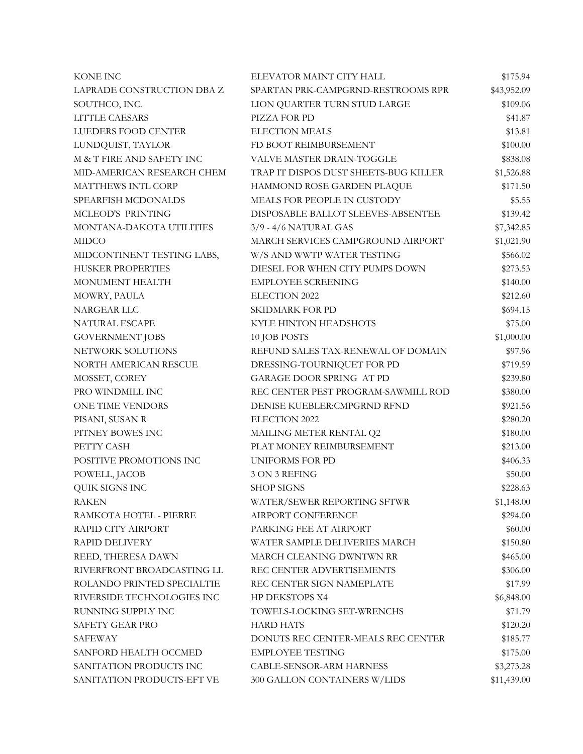| <b>KONE INC</b>            | ELEVATOR MAINT CITY HALL              | \$175.94    |
|----------------------------|---------------------------------------|-------------|
| LAPRADE CONSTRUCTION DBA Z | SPARTAN PRK-CAMPGRND-RESTROOMS RPR    | \$43,952.09 |
| SOUTHCO, INC.              | LION QUARTER TURN STUD LARGE          | \$109.06    |
| LITTLE CAESARS             | PIZZA FOR PD                          | \$41.87     |
| LUEDERS FOOD CENTER        | <b>ELECTION MEALS</b>                 | \$13.81     |
| LUNDQUIST, TAYLOR          | FD BOOT REIMBURSEMENT                 | \$100.00    |
| M & T FIRE AND SAFETY INC  | VALVE MASTER DRAIN-TOGGLE             | \$838.08    |
| MID-AMERICAN RESEARCH CHEM | TRAP IT DISPOS DUST SHEETS-BUG KILLER | \$1,526.88  |
| MATTHEWS INTL CORP         | HAMMOND ROSE GARDEN PLAQUE            | \$171.50    |
| SPEARFISH MCDONALDS        | MEALS FOR PEOPLE IN CUSTODY           | \$5.55      |
| MCLEOD'S PRINTING          | DISPOSABLE BALLOT SLEEVES-ABSENTEE    | \$139.42    |
| MONTANA-DAKOTA UTILITIES   | 3/9 - 4/6 NATURAL GAS                 | \$7,342.85  |
| <b>MIDCO</b>               | MARCH SERVICES CAMPGROUND-AIRPORT     | \$1,021.90  |
| MIDCONTINENT TESTING LABS, | W/S AND WWTP WATER TESTING            | \$566.02    |
| <b>HUSKER PROPERTIES</b>   | DIESEL FOR WHEN CITY PUMPS DOWN       | \$273.53    |
| MONUMENT HEALTH            | <b>EMPLOYEE SCREENING</b>             | \$140.00    |
| MOWRY, PAULA               | ELECTION 2022                         | \$212.60    |
| NARGEAR LLC                | SKIDMARK FOR PD                       | \$694.15    |
| NATURAL ESCAPE             | KYLE HINTON HEADSHOTS                 | \$75.00     |
| <b>GOVERNMENT JOBS</b>     | 10 JOB POSTS                          | \$1,000.00  |
| NETWORK SOLUTIONS          | REFUND SALES TAX-RENEWAL OF DOMAIN    | \$97.96     |
| NORTH AMERICAN RESCUE      | DRESSING-TOURNIQUET FOR PD            | \$719.59    |
| MOSSET, COREY              | <b>GARAGE DOOR SPRING AT PD</b>       | \$239.80    |
| PRO WINDMILL INC           | REC CENTER PEST PROGRAM-SAWMILL ROD   | \$380.00    |
| ONE TIME VENDORS           | DENISE KUEBLER: CMPGRND RFND          | \$921.56    |
| PISANI, SUSAN R            | <b>ELECTION 2022</b>                  | \$280.20    |
| PITNEY BOWES INC           | MAILING METER RENTAL Q2               | \$180.00    |
| PETTY CASH                 | PLAT MONEY REIMBURSEMENT              | \$213.00    |
| POSITIVE PROMOTIONS INC    | <b>UNIFORMS FOR PD</b>                | \$406.33    |
| POWELL, JACOB              | 3 ON 3 REFING                         | \$50.00     |
| QUIK SIGNS INC             | <b>SHOP SIGNS</b>                     | \$228.63    |
| <b>RAKEN</b>               | WATER/SEWER REPORTING SFTWR           | \$1,148.00  |
| RAMKOTA HOTEL - PIERRE     | AIRPORT CONFERENCE                    | \$294.00    |
| RAPID CITY AIRPORT         | PARKING FEE AT AIRPORT                | \$60.00     |
| <b>RAPID DELIVERY</b>      | WATER SAMPLE DELIVERIES MARCH         | \$150.80    |
| REED, THERESA DAWN         | MARCH CLEANING DWNTWN RR              | \$465.00    |
| RIVERFRONT BROADCASTING LL | REC CENTER ADVERTISEMENTS             | \$306.00    |
| ROLANDO PRINTED SPECIALTIE | REC CENTER SIGN NAMEPLATE             | \$17.99     |
| RIVERSIDE TECHNOLOGIES INC | HP DEKSTOPS X4                        | \$6,848.00  |
| RUNNING SUPPLY INC         | TOWELS-LOCKING SET-WRENCHS            | \$71.79     |
| <b>SAFETY GEAR PRO</b>     | <b>HARD HATS</b>                      | \$120.20    |
| <b>SAFEWAY</b>             | DONUTS REC CENTER-MEALS REC CENTER    | \$185.77    |
| SANFORD HEALTH OCCMED      | <b>EMPLOYEE TESTING</b>               | \$175.00    |
| SANITATION PRODUCTS INC    | CABLE-SENSOR-ARM HARNESS              | \$3,273.28  |
| SANITATION PRODUCTS-EFT VE | 300 GALLON CONTAINERS W/LIDS          | \$11,439.00 |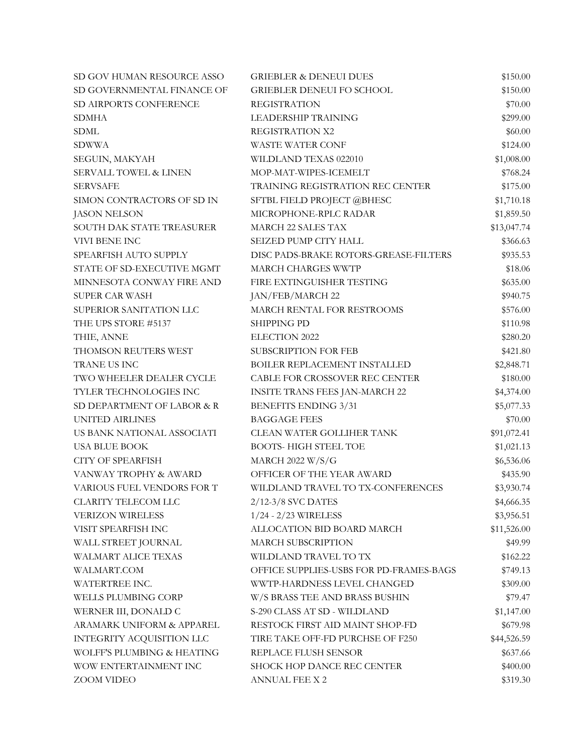| SD GOV HUMAN RESOURCE ASSO       | <b>GRIEBLER &amp; DENEUI DUES</b>       | \$150.00    |
|----------------------------------|-----------------------------------------|-------------|
| SD GOVERNMENTAL FINANCE OF       | <b>GRIEBLER DENEUI FO SCHOOL</b>        | \$150.00    |
| SD AIRPORTS CONFERENCE           | <b>REGISTRATION</b>                     | \$70.00     |
| <b>SDMHA</b>                     | <b>LEADERSHIP TRAINING</b>              | \$299.00    |
| <b>SDML</b>                      | REGISTRATION X2                         | \$60.00     |
| <b>SDWWA</b>                     | WASTE WATER CONF                        | \$124.00    |
| SEGUIN, MAKYAH                   | WILDLAND TEXAS 022010                   | \$1,008.00  |
| <b>SERVALL TOWEL &amp; LINEN</b> | MOP-MAT-WIPES-ICEMELT                   | \$768.24    |
| <b>SERVSAFE</b>                  | TRAINING REGISTRATION REC CENTER        | \$175.00    |
| SIMON CONTRACTORS OF SD IN       | SFTBL FIELD PROJECT @BHESC              | \$1,710.18  |
| <b>JASON NELSON</b>              | MICROPHONE-RPLC RADAR                   | \$1,859.50  |
| SOUTH DAK STATE TREASURER        | <b>MARCH 22 SALES TAX</b>               | \$13,047.74 |
| VIVI BENE INC                    | SEIZED PUMP CITY HALL                   | \$366.63    |
| SPEARFISH AUTO SUPPLY            | DISC PADS-BRAKE ROTORS-GREASE-FILTERS   | \$935.53    |
| STATE OF SD-EXECUTIVE MGMT       | MARCH CHARGES WWTP                      | \$18.06     |
| MINNESOTA CONWAY FIRE AND        | FIRE EXTINGUISHER TESTING               | \$635.00    |
| <b>SUPER CAR WASH</b>            | JAN/FEB/MARCH 22                        | \$940.75    |
| SUPERIOR SANITATION LLC          | MARCH RENTAL FOR RESTROOMS              | \$576.00    |
| THE UPS STORE #5137              | <b>SHIPPING PD</b>                      | \$110.98    |
| THIE, ANNE                       | ELECTION 2022                           | \$280.20    |
| THOMSON REUTERS WEST             | <b>SUBSCRIPTION FOR FEB</b>             | \$421.80    |
| TRANE US INC                     | BOILER REPLACEMENT INSTALLED            | \$2,848.71  |
| TWO WHEELER DEALER CYCLE         | CABLE FOR CROSSOVER REC CENTER          | \$180.00    |
| TYLER TECHNOLOGIES INC           | <b>INSITE TRANS FEES JAN-MARCH 22</b>   | \$4,374.00  |
| SD DEPARTMENT OF LABOR & R       | <b>BENEFITS ENDING 3/31</b>             | \$5,077.33  |
| <b>UNITED AIRLINES</b>           | <b>BAGGAGE FEES</b>                     | \$70.00     |
| US BANK NATIONAL ASSOCIATI       | <b>CLEAN WATER GOLLIHER TANK</b>        | \$91,072.41 |
| <b>USA BLUE BOOK</b>             | <b>BOOTS-HIGH STEEL TOE</b>             | \$1,021.13  |
| <b>CITY OF SPEARFISH</b>         | <b>MARCH 2022 W/S/G</b>                 | \$6,536.06  |
| VANWAY TROPHY & AWARD            | OFFICER OF THE YEAR AWARD               | \$435.90    |
| VARIOUS FUEL VENDORS FOR T       | WILDLAND TRAVEL TO TX-CONFERENCES       | \$3,930.74  |
| <b>CLARITY TELECOM LLC</b>       | 2/12-3/8 SVC DATES                      | \$4,666.35  |
| <b>VERIZON WIRELESS</b>          | 1/24 - 2/23 WIRELESS                    | \$3,956.51  |
| VISIT SPEARFISH INC              | ALLOCATION BID BOARD MARCH              | \$11,526.00 |
| WALL STREET JOURNAL              | MARCH SUBSCRIPTION                      | \$49.99     |
| WALMART ALICE TEXAS              | WILDLAND TRAVEL TO TX                   | \$162.22    |
| WALMART.COM                      | OFFICE SUPPLIES-USBS FOR PD-FRAMES-BAGS | \$749.13    |
| WATERTREE INC.                   | WWTP-HARDNESS LEVEL CHANGED             | \$309.00    |
| WELLS PLUMBING CORP              | W/S BRASS TEE AND BRASS BUSHIN          | \$79.47     |
| WERNER III, DONALD C             | S-290 CLASS AT SD - WILDLAND            | \$1,147.00  |
| ARAMARK UNIFORM & APPAREL        | RESTOCK FIRST AID MAINT SHOP-FD         | \$679.98    |
| INTEGRITY ACQUISITION LLC        | TIRE TAKE OFF-FD PURCHSE OF F250        | \$44,526.59 |
| WOLFF'S PLUMBING & HEATING       | REPLACE FLUSH SENSOR                    | \$637.66    |
| WOW ENTERTAINMENT INC            | SHOCK HOP DANCE REC CENTER              | \$400.00    |
| ZOOM VIDEO                       | ANNUAL FEE X 2                          | \$319.30    |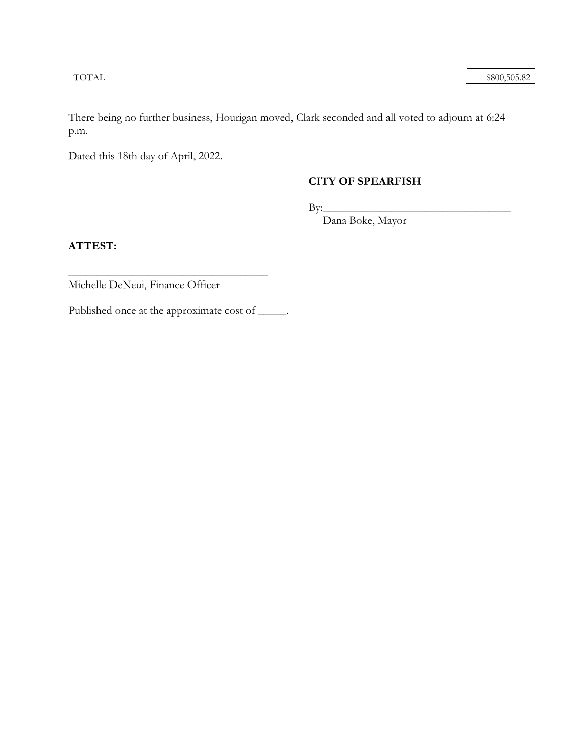TOTAL \$800,505.82

There being no further business, Hourigan moved, Clark seconded and all voted to adjourn at 6:24 p.m.

Dated this 18th day of April, 2022.

### **CITY OF SPEARFISH**

 $By:$ 

Dana Boke, Mayor

**ATTEST:** 

 $\overline{\phantom{a}}$  , where  $\overline{\phantom{a}}$  , where  $\overline{\phantom{a}}$  , where  $\overline{\phantom{a}}$  , where  $\overline{\phantom{a}}$ Michelle DeNeui, Finance Officer

Published once at the approximate cost of \_\_\_\_\_.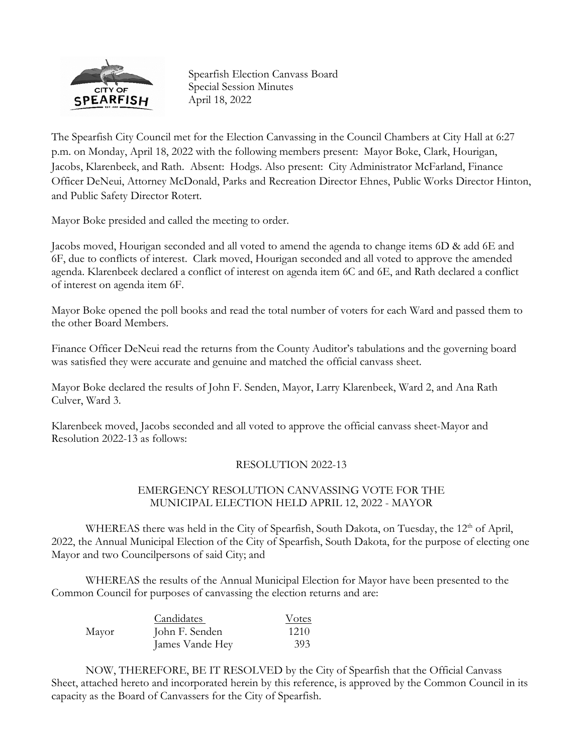

Spearfish Election Canvass Board Special Session Minutes April 18, 2022

The Spearfish City Council met for the Election Canvassing in the Council Chambers at City Hall at 6:27 p.m. on Monday, April 18, 2022 with the following members present: Mayor Boke, Clark, Hourigan, Jacobs, Klarenbeek, and Rath. Absent: Hodgs. Also present: City Administrator McFarland, Finance Officer DeNeui, Attorney McDonald, Parks and Recreation Director Ehnes, Public Works Director Hinton, and Public Safety Director Rotert.

Mayor Boke presided and called the meeting to order.

Jacobs moved, Hourigan seconded and all voted to amend the agenda to change items 6D & add 6E and 6F, due to conflicts of interest. Clark moved, Hourigan seconded and all voted to approve the amended agenda. Klarenbeek declared a conflict of interest on agenda item 6C and 6E, and Rath declared a conflict of interest on agenda item 6F.

Mayor Boke opened the poll books and read the total number of voters for each Ward and passed them to the other Board Members.

Finance Officer DeNeui read the returns from the County Auditor's tabulations and the governing board was satisfied they were accurate and genuine and matched the official canvass sheet.

Mayor Boke declared the results of John F. Senden, Mayor, Larry Klarenbeek, Ward 2, and Ana Rath Culver, Ward 3.

Klarenbeek moved, Jacobs seconded and all voted to approve the official canvass sheet-Mayor and Resolution 2022-13 as follows:

#### RESOLUTION 2022-13

### EMERGENCY RESOLUTION CANVASSING VOTE FOR THE MUNICIPAL ELECTION HELD APRIL 12, 2022 - MAYOR

WHEREAS there was held in the City of Spearfish, South Dakota, on Tuesday, the 12<sup>th</sup> of April, 2022, the Annual Municipal Election of the City of Spearfish, South Dakota, for the purpose of electing one Mayor and two Councilpersons of said City; and

WHEREAS the results of the Annual Municipal Election for Mayor have been presented to the Common Council for purposes of canvassing the election returns and are:

|       | Candidates      | Votes |
|-------|-----------------|-------|
| Mayor | John F. Senden  | 1210  |
|       | James Vande Hey | 393   |

NOW, THEREFORE, BE IT RESOLVED by the City of Spearfish that the Official Canvass Sheet, attached hereto and incorporated herein by this reference, is approved by the Common Council in its capacity as the Board of Canvassers for the City of Spearfish.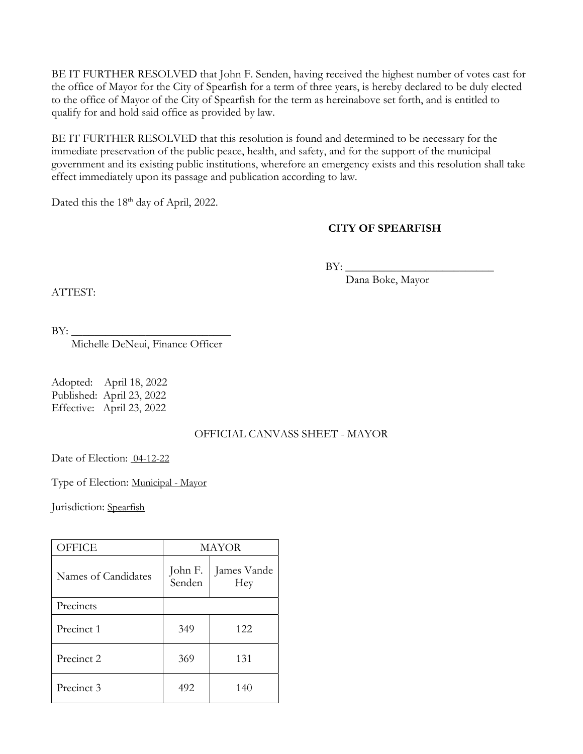BE IT FURTHER RESOLVED that John F. Senden, having received the highest number of votes cast for the office of Mayor for the City of Spearfish for a term of three years, is hereby declared to be duly elected to the office of Mayor of the City of Spearfish for the term as hereinabove set forth, and is entitled to qualify for and hold said office as provided by law.

BE IT FURTHER RESOLVED that this resolution is found and determined to be necessary for the immediate preservation of the public peace, health, and safety, and for the support of the municipal government and its existing public institutions, wherefore an emergency exists and this resolution shall take effect immediately upon its passage and publication according to law.

Dated this the 18<sup>th</sup> day of April, 2022.

## **CITY OF SPEARFISH**

 $BY:$ 

Dana Boke, Mayor

ATTEST:

 $BY:$ 

Michelle DeNeui, Finance Officer

Adopted: April 18, 2022 Published: April 23, 2022 Effective: April 23, 2022

#### OFFICIAL CANVASS SHEET - MAYOR

Date of Election: 04-12-22

Type of Election: Municipal - Mayor

Jurisdiction: Spearfish

| <b>OFFICE</b>       | MAYOR             |                    |
|---------------------|-------------------|--------------------|
| Names of Candidates | John F.<br>Senden | James Vande<br>Hey |
| Precincts           |                   |                    |
| Precinct 1          | 349               | 122.               |
| Precinct 2          | 369               | 131                |
| Precinct 3          | 492               | 140                |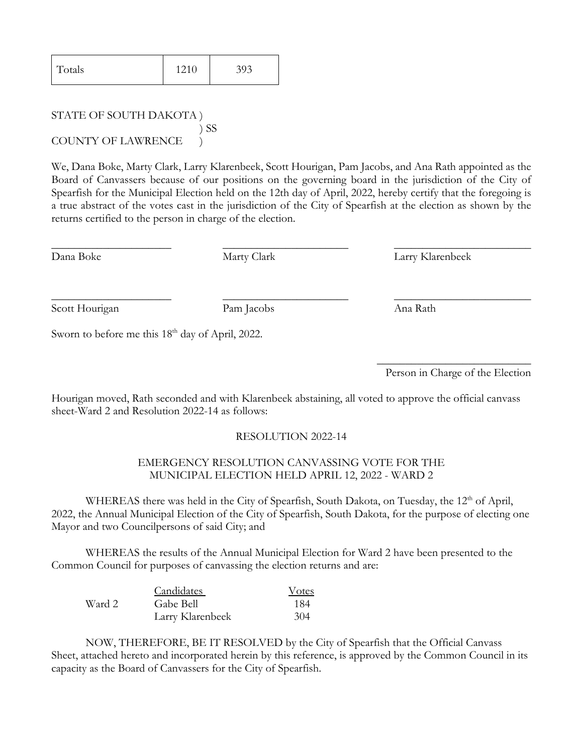| Totals | 1210 | 393 |
|--------|------|-----|
|--------|------|-----|

STATE OF SOUTH DAKOTA ) ) SS COUNTY OF LAWRENCE )

We, Dana Boke, Marty Clark, Larry Klarenbeek, Scott Hourigan, Pam Jacobs, and Ana Rath appointed as the Board of Canvassers because of our positions on the governing board in the jurisdiction of the City of Spearfish for the Municipal Election held on the 12th day of April, 2022, hereby certify that the foregoing is a true abstract of the votes cast in the jurisdiction of the City of Spearfish at the election as shown by the returns certified to the person in charge of the election.

\_\_\_\_\_\_\_\_\_\_\_\_\_\_\_\_\_\_\_\_\_ \_\_\_\_\_\_\_\_\_\_\_\_\_\_\_\_\_\_\_\_\_\_ \_\_\_\_\_\_\_\_\_\_\_\_\_\_\_\_\_\_\_\_\_\_\_\_

\_\_\_\_\_\_\_\_\_\_\_\_\_\_\_\_\_\_\_\_\_ \_\_\_\_\_\_\_\_\_\_\_\_\_\_\_\_\_\_\_\_\_\_ \_\_\_\_\_\_\_\_\_\_\_\_\_\_\_\_\_\_\_\_\_\_\_\_

Dana Boke Marty Clark Larry Klarenbeek

Scott Hourigan Pam Jacobs Ana Rath

Sworn to before me this 18<sup>th</sup> day of April, 2022.

 $\overline{\phantom{a}}$  , where  $\overline{\phantom{a}}$  , where  $\overline{\phantom{a}}$  , where  $\overline{\phantom{a}}$ Person in Charge of the Election

Hourigan moved, Rath seconded and with Klarenbeek abstaining, all voted to approve the official canvass sheet-Ward 2 and Resolution 2022-14 as follows:

#### RESOLUTION 2022-14

#### EMERGENCY RESOLUTION CANVASSING VOTE FOR THE MUNICIPAL ELECTION HELD APRIL 12, 2022 - WARD 2

WHEREAS there was held in the City of Spearfish, South Dakota, on Tuesday, the 12<sup>th</sup> of April, 2022, the Annual Municipal Election of the City of Spearfish, South Dakota, for the purpose of electing one Mayor and two Councilpersons of said City; and

 WHEREAS the results of the Annual Municipal Election for Ward 2 have been presented to the Common Council for purposes of canvassing the election returns and are:

|        | <b>Candidates</b> | Votes |
|--------|-------------------|-------|
| Ward 2 | Gabe Bell         | 184   |
|        | Larry Klarenbeek  | 304   |

 NOW, THEREFORE, BE IT RESOLVED by the City of Spearfish that the Official Canvass Sheet, attached hereto and incorporated herein by this reference, is approved by the Common Council in its capacity as the Board of Canvassers for the City of Spearfish.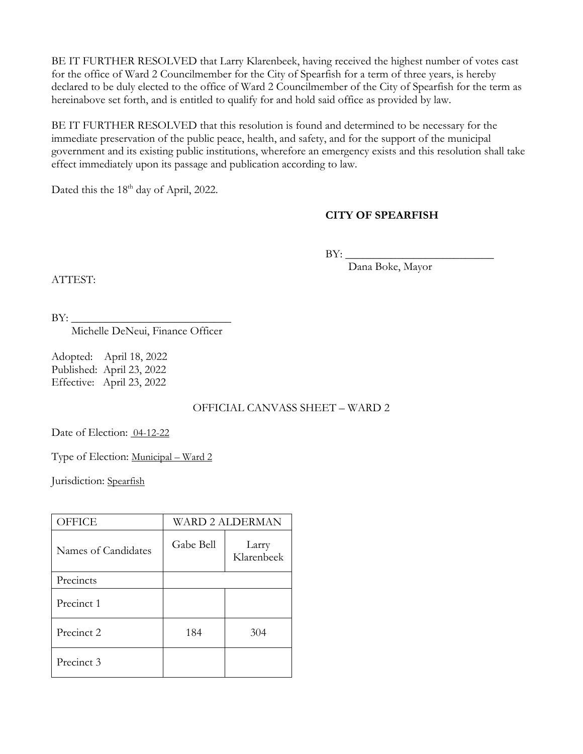BE IT FURTHER RESOLVED that Larry Klarenbeek, having received the highest number of votes cast for the office of Ward 2 Councilmember for the City of Spearfish for a term of three years, is hereby declared to be duly elected to the office of Ward 2 Councilmember of the City of Spearfish for the term as hereinabove set forth, and is entitled to qualify for and hold said office as provided by law.

BE IT FURTHER RESOLVED that this resolution is found and determined to be necessary for the immediate preservation of the public peace, health, and safety, and for the support of the municipal government and its existing public institutions, wherefore an emergency exists and this resolution shall take effect immediately upon its passage and publication according to law.

Dated this the 18<sup>th</sup> day of April, 2022.

### **CITY OF SPEARFISH**

 $BY:$ 

Dana Boke, Mayor

ATTEST:

BY: \_\_\_\_\_\_\_\_\_\_\_\_\_\_\_\_\_\_\_\_\_\_\_\_\_\_\_\_ Michelle DeNeui, Finance Officer

Adopted: April 18, 2022 Published: April 23, 2022 Effective: April 23, 2022

## OFFICIAL CANVASS SHEET – WARD 2

Date of Election: 04-12-22

Type of Election: Municipal – Ward 2

Jurisdiction: Spearfish

| <b>OFFICE</b>       | <b>WARD 2 ALDERMAN</b> |                     |
|---------------------|------------------------|---------------------|
| Names of Candidates | Gabe Bell              | Larry<br>Klarenbeek |
| Precincts           |                        |                     |
| Precinct 1          |                        |                     |
| Precinct 2          | 184                    | 304                 |
| Precinct 3          |                        |                     |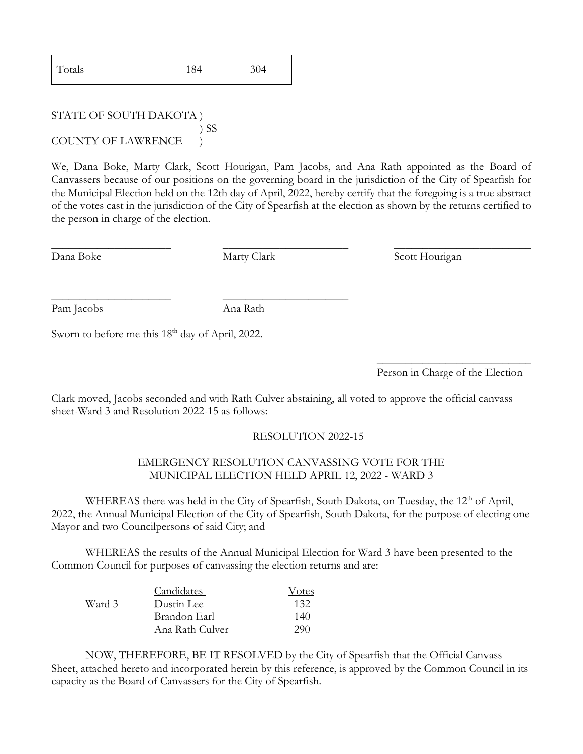| Totals | 184 | 304 |
|--------|-----|-----|
|--------|-----|-----|

STATE OF SOUTH DAKOTA ) ) SS COUNTY OF LAWRENCE )

We, Dana Boke, Marty Clark, Scott Hourigan, Pam Jacobs, and Ana Rath appointed as the Board of Canvassers because of our positions on the governing board in the jurisdiction of the City of Spearfish for the Municipal Election held on the 12th day of April, 2022, hereby certify that the foregoing is a true abstract of the votes cast in the jurisdiction of the City of Spearfish at the election as shown by the returns certified to the person in charge of the election.

\_\_\_\_\_\_\_\_\_\_\_\_\_\_\_\_\_\_\_\_\_ \_\_\_\_\_\_\_\_\_\_\_\_\_\_\_\_\_\_\_\_\_\_ \_\_\_\_\_\_\_\_\_\_\_\_\_\_\_\_\_\_\_\_\_\_\_\_

Dana Boke Marty Clark Scott Hourigan

Pam Jacobs Ana Rath

\_\_\_\_\_\_\_\_\_\_\_\_\_\_\_\_\_\_\_\_\_ \_\_\_\_\_\_\_\_\_\_\_\_\_\_\_\_\_\_\_\_\_\_

Sworn to before me this 18<sup>th</sup> day of April, 2022.

 $\overline{\phantom{a}}$  , where  $\overline{\phantom{a}}$  , where  $\overline{\phantom{a}}$  , where  $\overline{\phantom{a}}$ Person in Charge of the Election

Clark moved, Jacobs seconded and with Rath Culver abstaining, all voted to approve the official canvass sheet-Ward 3 and Resolution 2022-15 as follows:

## RESOLUTION 2022-15

#### EMERGENCY RESOLUTION CANVASSING VOTE FOR THE MUNICIPAL ELECTION HELD APRIL 12, 2022 - WARD 3

WHEREAS there was held in the City of Spearfish, South Dakota, on Tuesday, the 12<sup>th</sup> of April, 2022, the Annual Municipal Election of the City of Spearfish, South Dakota, for the purpose of electing one Mayor and two Councilpersons of said City; and

 WHEREAS the results of the Annual Municipal Election for Ward 3 have been presented to the Common Council for purposes of canvassing the election returns and are:

|        | <b>Candidates</b> | Votes |
|--------|-------------------|-------|
| Ward 3 | Dustin Lee        | 132   |
|        | Brandon Earl      | 140   |
|        | Ana Rath Culver   | 290   |

 NOW, THEREFORE, BE IT RESOLVED by the City of Spearfish that the Official Canvass Sheet, attached hereto and incorporated herein by this reference, is approved by the Common Council in its capacity as the Board of Canvassers for the City of Spearfish.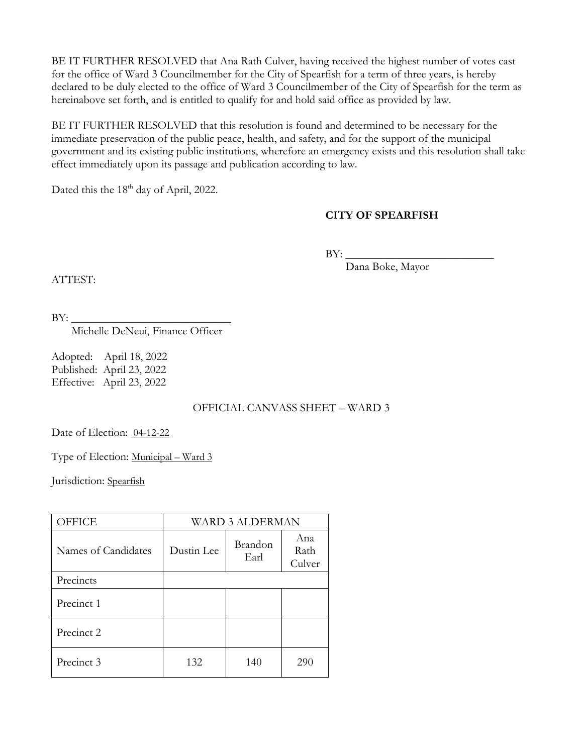BE IT FURTHER RESOLVED that Ana Rath Culver, having received the highest number of votes cast for the office of Ward 3 Councilmember for the City of Spearfish for a term of three years, is hereby declared to be duly elected to the office of Ward 3 Councilmember of the City of Spearfish for the term as hereinabove set forth, and is entitled to qualify for and hold said office as provided by law.

BE IT FURTHER RESOLVED that this resolution is found and determined to be necessary for the immediate preservation of the public peace, health, and safety, and for the support of the municipal government and its existing public institutions, wherefore an emergency exists and this resolution shall take effect immediately upon its passage and publication according to law.

Dated this the 18<sup>th</sup> day of April, 2022.

### **CITY OF SPEARFISH**

 $BY:$ 

Dana Boke, Mayor

 $BY:$ 

ATTEST:

Michelle DeNeui, Finance Officer

Adopted: April 18, 2022 Published: April 23, 2022 Effective: April 23, 2022

## OFFICIAL CANVASS SHEET – WARD 3

Date of Election: 04-12-22

Type of Election: Municipal – Ward 3

Jurisdiction: Spearfish

| <b>OFFICE</b>       | <b>WARD 3 ALDERMAN</b> |                 |                       |
|---------------------|------------------------|-----------------|-----------------------|
| Names of Candidates | Dustin Lee             | Brandon<br>Earl | Ana<br>Rath<br>Culver |
| Precincts           |                        |                 |                       |
| Precinct 1          |                        |                 |                       |
| Precinct 2          |                        |                 |                       |
| Precinct 3          | 132                    | 140             | 290                   |